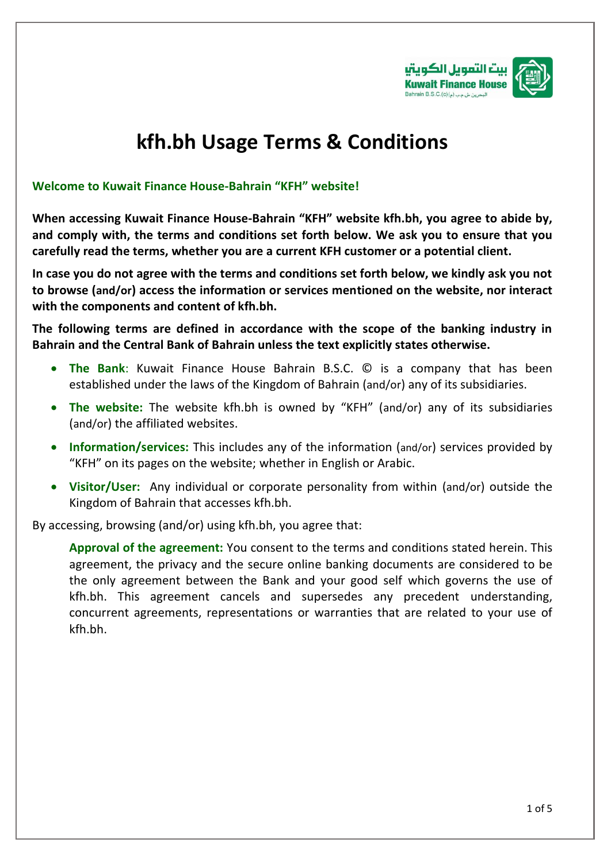

## **kfh.bh Usage Terms & Conditions**

## **Welcome to Kuwait Finance House-Bahrain "KFH" website!**

**When accessing Kuwait Finance House-Bahrain "KFH" website kfh.bh, you agree to abide by, and comply with, the terms and conditions set forth below. We ask you to ensure that you carefully read the terms, whether you are a current KFH customer or a potential client.**

**In case you do not agree with the terms and conditions set forth below, we kindly ask you not to browse (and/or) access the information or services mentioned on the website, nor interact with the components and content of kfh.bh.**

**The following terms are defined in accordance with the scope of the banking industry in Bahrain and the Central Bank of Bahrain unless the text explicitly states otherwise.** 

- **The Bank**: Kuwait Finance House Bahrain B.S.C. © is a company that has been established under the laws of the Kingdom of Bahrain (and/or) any of its subsidiaries.
- **The website:** The website kfh.bh is owned by "KFH" (and/or) any of its subsidiaries (and/or) the affiliated websites.
- **Information/services:** This includes any of the information (and/or) services provided by "KFH" on its pages on the website; whether in English or Arabic.
- **Visitor/User:** Any individual or corporate personality from within (and/or) outside the Kingdom of Bahrain that accesses kfh.bh.

By accessing, browsing (and/or) using kfh.bh, you agree that:

**Approval of the agreement:** You consent to the terms and conditions stated herein. This agreement, the privacy and the secure online banking documents are considered to be the only agreement between the Bank and your good self which governs the use of kfh.bh. This agreement cancels and supersedes any precedent understanding, concurrent agreements, representations or warranties that are related to your use of kfh.bh.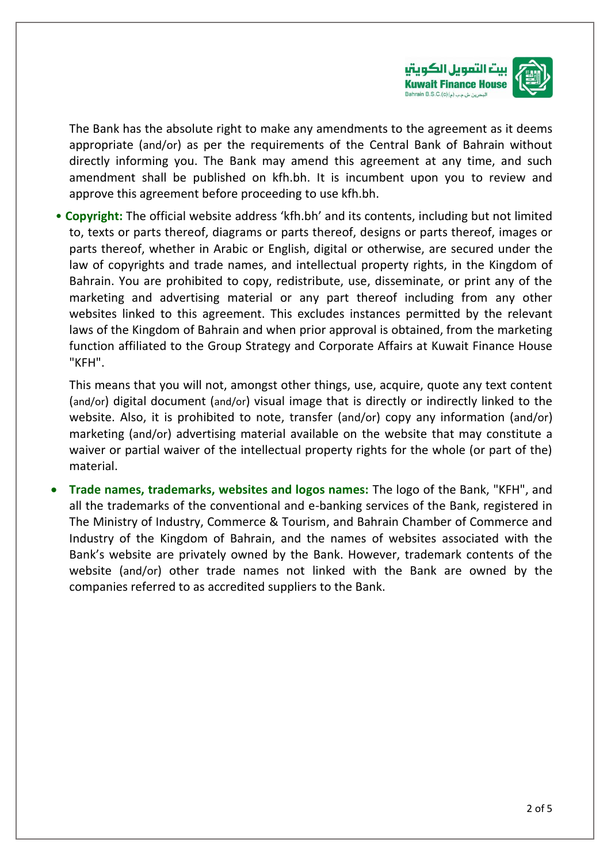

The Bank has the absolute right to make any amendments to the agreement as it deems appropriate (and/or) as per the requirements of the Central Bank of Bahrain without directly informing you. The Bank may amend this agreement at any time, and such amendment shall be published on kfh.bh. It is incumbent upon you to review and approve this agreement before proceeding to use kfh.bh.

• **Copyright:** The official website address 'kfh.bh' and its contents, including but not limited to, texts or parts thereof, diagrams or parts thereof, designs or parts thereof, images or parts thereof, whether in Arabic or English, digital or otherwise, are secured under the law of copyrights and trade names, and intellectual property rights, in the Kingdom of Bahrain. You are prohibited to copy, redistribute, use, disseminate, or print any of the marketing and advertising material or any part thereof including from any other websites linked to this agreement. This excludes instances permitted by the relevant laws of the Kingdom of Bahrain and when prior approval is obtained, from the marketing function affiliated to the Group Strategy and Corporate Affairs at Kuwait Finance House "KFH".

This means that you will not, amongst other things, use, acquire, quote any text content (and/or) digital document (and/or) visual image that is directly or indirectly linked to the website. Also, it is prohibited to note, transfer (and/or) copy any information (and/or) marketing (and/or) advertising material available on the website that may constitute a waiver or partial waiver of the intellectual property rights for the whole (or part of the) material.

• **Trade names, trademarks, websites and logos names:** The logo of the Bank, "KFH", and all the trademarks of the conventional and e-banking services of the Bank, registered in The Ministry of Industry, Commerce & Tourism, and Bahrain Chamber of Commerce and Industry of the Kingdom of Bahrain, and the names of websites associated with the Bank's website are privately owned by the Bank. However, trademark contents of the website (and/or) other trade names not linked with the Bank are owned by the companies referred to as accredited suppliers to the Bank.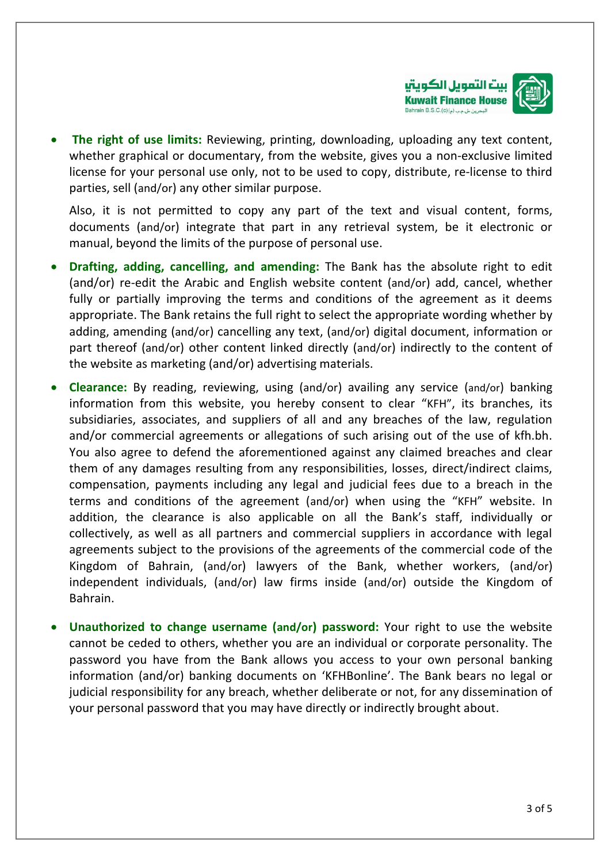

• **The right of use limits:** Reviewing, printing, downloading, uploading any text content, whether graphical or documentary, from the website, gives you a non-exclusive limited license for your personal use only, not to be used to copy, distribute, re-license to third parties, sell (and/or) any other similar purpose.

Also, it is not permitted to copy any part of the text and visual content, forms, documents (and/or) integrate that part in any retrieval system, be it electronic or manual, beyond the limits of the purpose of personal use.

- **Drafting, adding, cancelling, and amending:** The Bank has the absolute right to edit (and/or) re-edit the Arabic and English website content (and/or) add, cancel, whether fully or partially improving the terms and conditions of the agreement as it deems appropriate. The Bank retains the full right to select the appropriate wording whether by adding, amending (and/or) cancelling any text, (and/or) digital document, information or part thereof (and/or) other content linked directly (and/or) indirectly to the content of the website as marketing (and/or) advertising materials.
- **Clearance:** By reading, reviewing, using (and/or) availing any service (and/or) banking information from this website, you hereby consent to clear "KFH", its branches, its subsidiaries, associates, and suppliers of all and any breaches of the law, regulation and/or commercial agreements or allegations of such arising out of the use of kfh.bh. You also agree to defend the aforementioned against any claimed breaches and clear them of any damages resulting from any responsibilities, losses, direct/indirect claims, compensation, payments including any legal and judicial fees due to a breach in the terms and conditions of the agreement (and/or) when using the "KFH" website. In addition, the clearance is also applicable on all the Bank's staff, individually or collectively, as well as all partners and commercial suppliers in accordance with legal agreements subject to the provisions of the agreements of the commercial code of the Kingdom of Bahrain, (and/or) lawyers of the Bank, whether workers, (and/or) independent individuals, (and/or) law firms inside (and/or) outside the Kingdom of Bahrain.
- **Unauthorized to change username (and/or) password:** Your right to use the website cannot be ceded to others, whether you are an individual or corporate personality. The password you have from the Bank allows you access to your own personal banking information (and/or) banking documents on 'KFHBonline'. The Bank bears no legal or judicial responsibility for any breach, whether deliberate or not, for any dissemination of your personal password that you may have directly or indirectly brought about.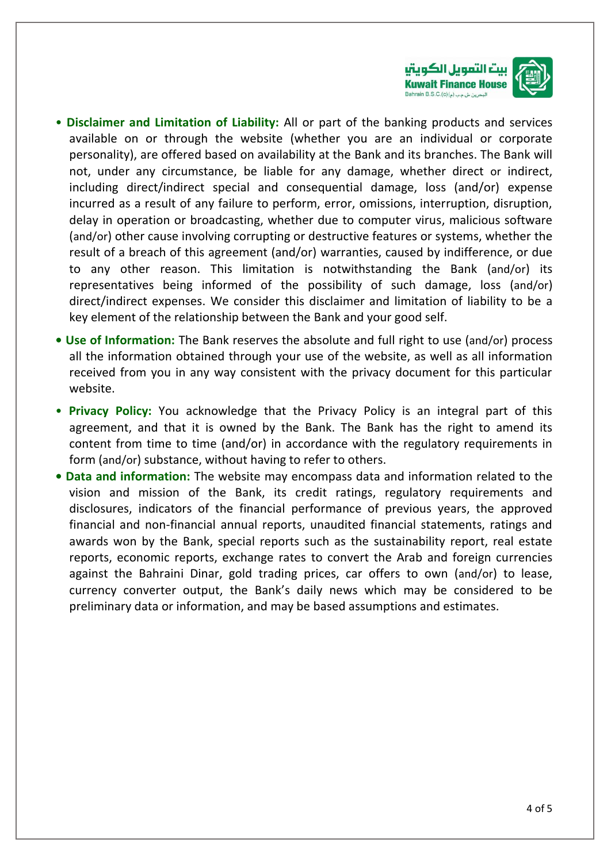

- **Disclaimer and Limitation of Liability:** All or part of the banking products and services available on or through the website (whether you are an individual or corporate personality), are offered based on availability at the Bank and its branches. The Bank will not, under any circumstance, be liable for any damage, whether direct or indirect, including direct/indirect special and consequential damage, loss (and/or) expense incurred as a result of any failure to perform, error, omissions, interruption, disruption, delay in operation or broadcasting, whether due to computer virus, malicious software (and/or) other cause involving corrupting or destructive features or systems, whether the result of a breach of this agreement (and/or) warranties, caused by indifference, or due to any other reason. This limitation is notwithstanding the Bank (and/or) its representatives being informed of the possibility of such damage, loss (and/or) direct/indirect expenses. We consider this disclaimer and limitation of liability to be a key element of the relationship between the Bank and your good self.
- **• Use of Information:** The Bank reserves the absolute and full right to use (and/or) process all the information obtained through your use of the website, as well as all information received from you in any way consistent with the privacy document for this particular website.
- **Privacy Policy:** You acknowledge that the Privacy Policy is an integral part of this agreement, and that it is owned by the Bank. The Bank has the right to amend its content from time to time (and/or) in accordance with the regulatory requirements in form (and/or) substance, without having to refer to others.
- **Data and information:** The website may encompass data and information related to the vision and mission of the Bank, its credit ratings, regulatory requirements and disclosures, indicators of the financial performance of previous years, the approved financial and non-financial annual reports, unaudited financial statements, ratings and awards won by the Bank, special reports such as the sustainability report, real estate reports, economic reports, exchange rates to convert the Arab and foreign currencies against the Bahraini Dinar, gold trading prices, car offers to own (and/or) to lease, currency converter output, the Bank's daily news which may be considered to be preliminary data or information, and may be based assumptions and estimates.